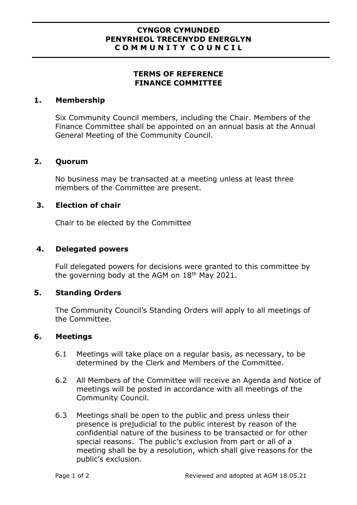#### **CYNGOR CYMUNDED PENYRHEOL TRECENYDD ENERGLYN C O M M U N I T Y C O U N C I L**

# **TERMS OF REFERENCE FINANCE COMMITTEE**

## **1. Membership**

Six Community Council members, including the Chair. Members of the Finance Committee shall be appointed on an annual basis at the Annual General Meeting of the Community Council.

## **2. Quorum**

No business may be transacted at a meeting unless at least three members of the Committee are present.

# **3. Election of chair**

Chair to be elected by the Committee

## **4. Delegated powers**

Full delegated powers for decisions were granted to this committee by the governing body at the AGM on 18<sup>th</sup> May 2021.

## **5. Standing Orders**

The Community Council's Standing Orders will apply to all meetings of the Committee.

## **6. Meetings**

- 6.1 Meetings will take place on a regular basis, as necessary, to be determined by the Clerk and Members of the Committee.
- 6.2 All Members of the Committee will receive an Agenda and Notice of meetings will be posted in accordance with all meetings of the Community Council.
- 6.3 Meetings shall be open to the public and press unless their presence is prejudicial to the public interest by reason of the confidential nature of the business to be transacted or for other special reasons. The public's exclusion from part or all of a meeting shall be by a resolution, which shall give reasons for the public's exclusion.